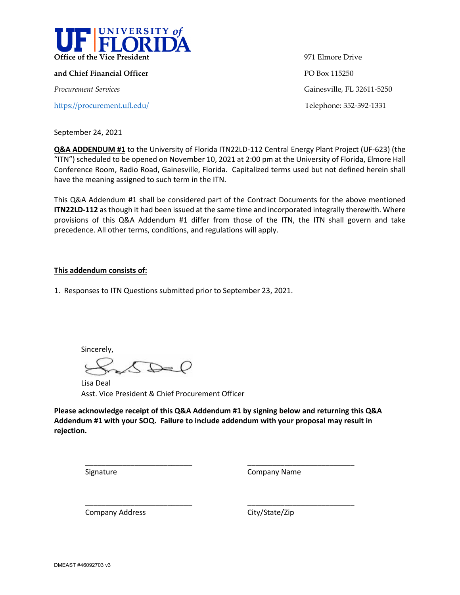

**and Chief Financial Officer PO Box 115250** *Procurement Services* Gainesville, FL 32611-5250

<https://procurement.ufl.edu/>Telephone: 352-392-1331

**Office of the Vice President** 971 Elmore Drive

September 24, 2021

**Q&A ADDENDUM #1** to the University of Florida ITN22LD-112 Central Energy Plant Project (UF-623) (the "ITN") scheduled to be opened on November 10, 2021 at 2:00 pm at the University of Florida, Elmore Hall Conference Room, Radio Road, Gainesville, Florida. Capitalized terms used but not defined herein shall have the meaning assigned to such term in the ITN.

This Q&A Addendum #1 shall be considered part of the Contract Documents for the above mentioned **ITN22LD-112** as though it had been issued at the same time and incorporated integrally therewith. Where provisions of this Q&A Addendum #1 differ from those of the ITN, the ITN shall govern and take precedence. All other terms, conditions, and regulations will apply.

## **This addendum consists of:**

1. Responses to ITN Questions submitted prior to September 23, 2021.

Sincerely,

\_\_\_\_\_\_\_\_\_\_\_\_\_\_\_\_\_\_\_\_\_\_\_\_\_\_

\_\_\_\_\_\_\_\_\_\_\_\_\_\_\_\_\_\_\_\_\_\_\_\_\_\_

Lisa Deal Asst. Vice President & Chief Procurement Officer

**Please acknowledge receipt of this Q&A Addendum #1 by signing below and returning this Q&A Addendum #1 with your SOQ. Failure to include addendum with your proposal may result in rejection.** 

**Signature** 

Company Name

\_\_\_\_\_\_\_\_\_\_\_\_\_\_\_\_\_\_\_\_\_\_\_\_\_\_

\_\_\_\_\_\_\_\_\_\_\_\_\_\_\_\_\_\_\_\_\_\_\_\_\_\_

Company Address

City/State/Zip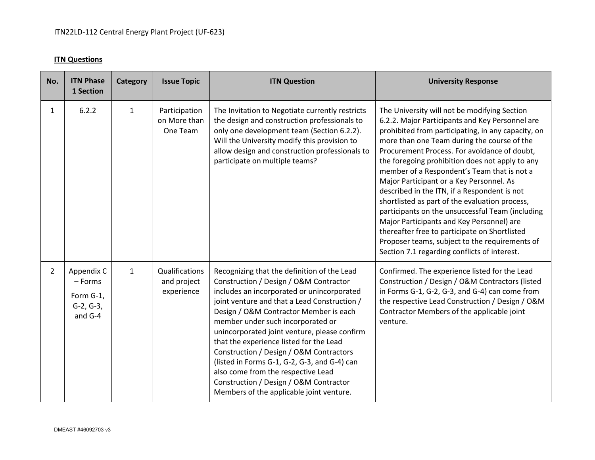## **ITN Questions**

| No.            | <b>ITN Phase</b><br>1 Section                                | Category     | <b>Issue Topic</b>                          | <b>ITN Question</b>                                                                                                                                                                                                                                                                                                                                                                                                                                                                                                                                                                  | <b>University Response</b>                                                                                                                                                                                                                                                                                                                                                                                                                                                                                                                                                                                                                                                                                                                               |
|----------------|--------------------------------------------------------------|--------------|---------------------------------------------|--------------------------------------------------------------------------------------------------------------------------------------------------------------------------------------------------------------------------------------------------------------------------------------------------------------------------------------------------------------------------------------------------------------------------------------------------------------------------------------------------------------------------------------------------------------------------------------|----------------------------------------------------------------------------------------------------------------------------------------------------------------------------------------------------------------------------------------------------------------------------------------------------------------------------------------------------------------------------------------------------------------------------------------------------------------------------------------------------------------------------------------------------------------------------------------------------------------------------------------------------------------------------------------------------------------------------------------------------------|
| $\mathbf{1}$   | 6.2.2                                                        | $\mathbf{1}$ | Participation<br>on More than<br>One Team   | The Invitation to Negotiate currently restricts<br>the design and construction professionals to<br>only one development team (Section 6.2.2).<br>Will the University modify this provision to<br>allow design and construction professionals to<br>participate on multiple teams?                                                                                                                                                                                                                                                                                                    | The University will not be modifying Section<br>6.2.2. Major Participants and Key Personnel are<br>prohibited from participating, in any capacity, on<br>more than one Team during the course of the<br>Procurement Process. For avoidance of doubt,<br>the foregoing prohibition does not apply to any<br>member of a Respondent's Team that is not a<br>Major Participant or a Key Personnel. As<br>described in the ITN, if a Respondent is not<br>shortlisted as part of the evaluation process,<br>participants on the unsuccessful Team (including<br>Major Participants and Key Personnel) are<br>thereafter free to participate on Shortlisted<br>Proposer teams, subject to the requirements of<br>Section 7.1 regarding conflicts of interest. |
| $\overline{2}$ | Appendix C<br>- Forms<br>Form G-1,<br>$G-2, G-3,$<br>and G-4 | $\mathbf{1}$ | Qualifications<br>and project<br>experience | Recognizing that the definition of the Lead<br>Construction / Design / O&M Contractor<br>includes an incorporated or unincorporated<br>joint venture and that a Lead Construction /<br>Design / O&M Contractor Member is each<br>member under such incorporated or<br>unincorporated joint venture, please confirm<br>that the experience listed for the Lead<br>Construction / Design / O&M Contractors<br>(listed in Forms G-1, G-2, G-3, and G-4) can<br>also come from the respective Lead<br>Construction / Design / O&M Contractor<br>Members of the applicable joint venture. | Confirmed. The experience listed for the Lead<br>Construction / Design / O&M Contractors (listed<br>in Forms G-1, G-2, G-3, and G-4) can come from<br>the respective Lead Construction / Design / O&M<br>Contractor Members of the applicable joint<br>venture.                                                                                                                                                                                                                                                                                                                                                                                                                                                                                          |